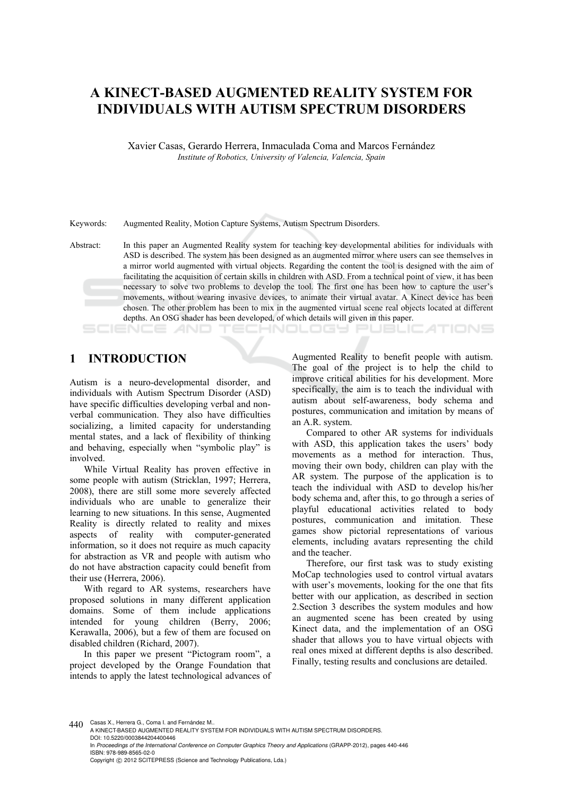# **A KINECT-BASED AUGMENTED REALITY SYSTEM FOR INDIVIDUALS WITH AUTISM SPECTRUM DISORDERS**

Xavier Casas, Gerardo Herrera, Inmaculada Coma and Marcos Fernández *Institute of Robotics, University of Valencia, Valencia, Spain* 

Keywords: Augmented Reality, Motion Capture Systems, Autism Spectrum Disorders.

Abstract: In this paper an Augmented Reality system for teaching key developmental abilities for individuals with ASD is described. The system has been designed as an augmented mirror where users can see themselves in a mirror world augmented with virtual objects. Regarding the content the tool is designed with the aim of facilitating the acquisition of certain skills in children with ASD. From a technical point of view, it has been necessary to solve two problems to develop the tool. The first one has been how to capture the user's movements, without wearing invasive devices, to animate their virtual avatar. A Kinect device has been chosen. The other problem has been to mix in the augmented virtual scene real objects located at different depths. An OSG shader has been developed, of which details will given in this paper. SCIENCE *A*ND -INOLOGY P JBLIC ATIONS

### **1 INTRODUCTION**

Autism is a neuro-developmental disorder, and individuals with Autism Spectrum Disorder (ASD) have specific difficulties developing verbal and nonverbal communication. They also have difficulties socializing, a limited capacity for understanding mental states, and a lack of flexibility of thinking and behaving, especially when "symbolic play" is involved.

While Virtual Reality has proven effective in some people with autism (Stricklan, 1997; Herrera, 2008), there are still some more severely affected individuals who are unable to generalize their learning to new situations. In this sense, Augmented Reality is directly related to reality and mixes aspects of reality with computer-generated information, so it does not require as much capacity for abstraction as VR and people with autism who do not have abstraction capacity could benefit from their use (Herrera, 2006).

With regard to AR systems, researchers have proposed solutions in many different application domains. Some of them include applications intended for young children (Berry, 2006; Kerawalla, 2006), but a few of them are focused on disabled children (Richard, 2007).

In this paper we present "Pictogram room", a project developed by the Orange Foundation that intends to apply the latest technological advances of

Augmented Reality to benefit people with autism. The goal of the project is to help the child to improve critical abilities for his development. More specifically, the aim is to teach the individual with autism about self-awareness, body schema and postures, communication and imitation by means of an A.R. system.

Compared to other AR systems for individuals with ASD, this application takes the users' body movements as a method for interaction. Thus, moving their own body, children can play with the AR system. The purpose of the application is to teach the individual with ASD to develop his/her body schema and, after this, to go through a series of playful educational activities related to body postures, communication and imitation. These games show pictorial representations of various elements, including avatars representing the child and the teacher.

Therefore, our first task was to study existing MoCap technologies used to control virtual avatars with user's movements, looking for the one that fits better with our application, as described in section 2.Section 3 describes the system modules and how an augmented scene has been created by using Kinect data, and the implementation of an OSG shader that allows you to have virtual objects with real ones mixed at different depths is also described. Finally, testing results and conclusions are detailed.

440 Casas X., Herrera G., Coma I. and Fernández M.

A KINECT-BASED AUGMENTED REALITY SYSTEM FOR INDIVIDUALS WITH AUTISM SPECTRUM DISORDERS. DOI: 10.5220/0003844204400446 In *Proceedings of the International Conference on Computer Graphics Theory and Applications* (GRAPP-2012), pages 440-446 ISBN: 978-989-8565-02-0 Copyright © 2012 SCITEPRESS (Science and Technology Publications, Lda.)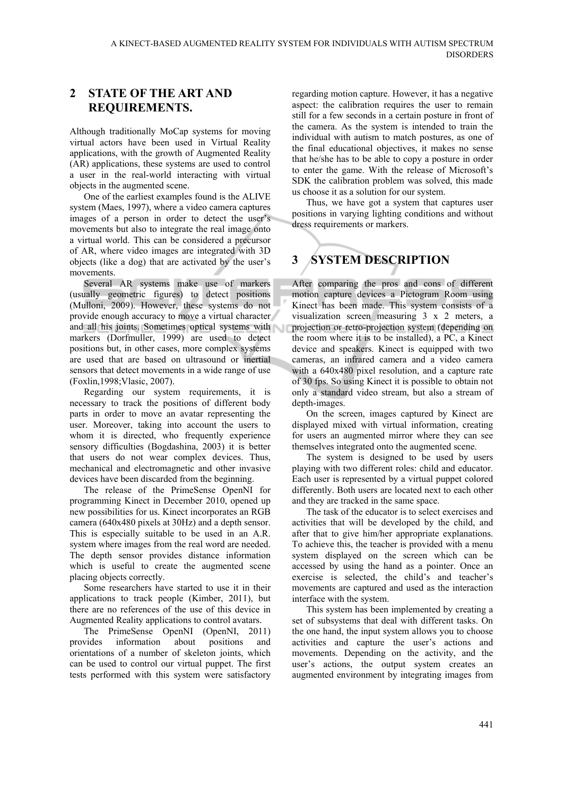### **2 STATE OF THE ART AND REQUIREMENTS.**

Although traditionally MoCap systems for moving virtual actors have been used in Virtual Reality applications, with the growth of Augmented Reality (AR) applications, these systems are used to control a user in the real-world interacting with virtual objects in the augmented scene.

One of the earliest examples found is the ALIVE system (Maes, 1997), where a video camera captures images of a person in order to detect the user's movements but also to integrate the real image onto a virtual world. This can be considered a precursor of AR, where video images are integrated with 3D objects (like a dog) that are activated by the user's movements.

Several AR systems make use of markers (usually geometric figures) to detect positions (Mulloni, 2009). However, these systems do not provide enough accuracy to move a virtual character and all his joints. Sometimes optical systems with markers (Dorfmuller, 1999) are used to detect positions but, in other cases, more complex systems are used that are based on ultrasound or inertial sensors that detect movements in a wide range of use (Foxlin,1998;Vlasic, 2007).

Regarding our system requirements, it is necessary to track the positions of different body parts in order to move an avatar representing the user. Moreover, taking into account the users to whom it is directed, who frequently experience sensory difficulties (Bogdashina, 2003) it is better that users do not wear complex devices. Thus, mechanical and electromagnetic and other invasive devices have been discarded from the beginning.

The release of the PrimeSense OpenNI for programming Kinect in December 2010, opened up new possibilities for us. Kinect incorporates an RGB camera (640x480 pixels at 30Hz) and a depth sensor. This is especially suitable to be used in an A.R. system where images from the real word are needed. The depth sensor provides distance information which is useful to create the augmented scene placing objects correctly.

Some researchers have started to use it in their applications to track people (Kimber, 2011), but there are no references of the use of this device in Augmented Reality applications to control avatars.

The PrimeSense OpenNI (OpenNI, 2011) provides information about positions and orientations of a number of skeleton joints, which can be used to control our virtual puppet. The first tests performed with this system were satisfactory regarding motion capture. However, it has a negative aspect: the calibration requires the user to remain still for a few seconds in a certain posture in front of the camera. As the system is intended to train the individual with autism to match postures, as one of the final educational objectives, it makes no sense that he/she has to be able to copy a posture in order to enter the game. With the release of Microsoft's SDK the calibration problem was solved, this made us choose it as a solution for our system.

Thus, we have got a system that captures user positions in varying lighting conditions and without dress requirements or markers.

# **3 SYSTEM DESCRIPTION**

After comparing the pros and cons of different motion capture devices a Pictogram Room using Kinect has been made. This system consists of a visualization screen measuring 3 x 2 meters, a projection or retro-projection system (depending on the room where it is to be installed), a PC, a Kinect device and speakers. Kinect is equipped with two cameras, an infrared camera and a video camera with a 640x480 pixel resolution, and a capture rate of 30 fps. So using Kinect it is possible to obtain not only a standard video stream, but also a stream of depth-images.

On the screen, images captured by Kinect are displayed mixed with virtual information, creating for users an augmented mirror where they can see themselves integrated onto the augmented scene.

The system is designed to be used by users playing with two different roles: child and educator. Each user is represented by a virtual puppet colored differently. Both users are located next to each other and they are tracked in the same space.

The task of the educator is to select exercises and activities that will be developed by the child, and after that to give him/her appropriate explanations. To achieve this, the teacher is provided with a menu system displayed on the screen which can be accessed by using the hand as a pointer. Once an exercise is selected, the child's and teacher's movements are captured and used as the interaction interface with the system.

This system has been implemented by creating a set of subsystems that deal with different tasks. On the one hand, the input system allows you to choose activities and capture the user's actions and movements. Depending on the activity, and the user's actions, the output system creates an augmented environment by integrating images from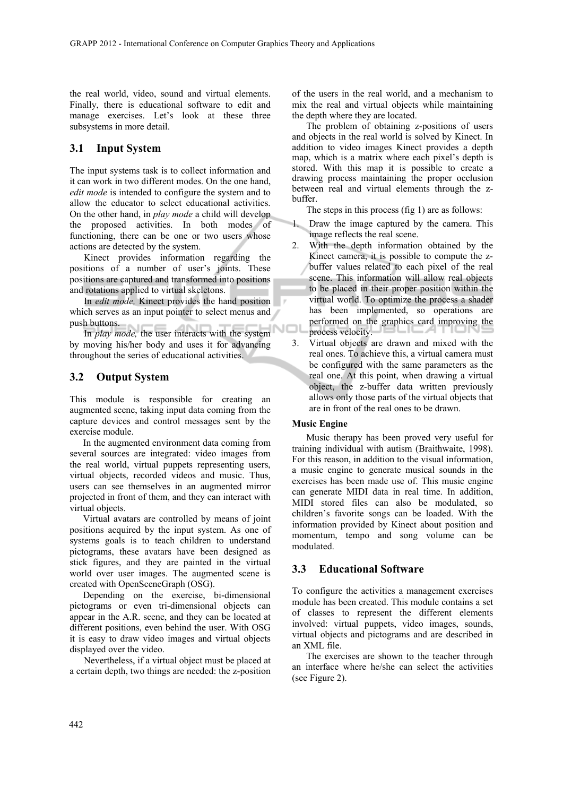the real world, video, sound and virtual elements. Finally, there is educational software to edit and manage exercises. Let's look at these three subsystems in more detail.

#### **3.1 Input System**

The input systems task is to collect information and it can work in two different modes. On the one hand, *edit mode* is intended to configure the system and to allow the educator to select educational activities. On the other hand, in *play mode* a child will develop the proposed activities. In both modes of functioning, there can be one or two users whose actions are detected by the system.

Kinect provides information regarding the positions of a number of user's joints. These positions are captured and transformed into positions and rotations applied to virtual skeletons.

In *edit mode,* Kinect provides the hand position which serves as an input pointer to select menus and push buttons.

In *play mode,* the user interacts with the system by moving his/her body and uses it for advancing throughout the series of educational activities.

#### **3.2 Output System**

This module is responsible for creating an augmented scene, taking input data coming from the capture devices and control messages sent by the exercise module.

In the augmented environment data coming from several sources are integrated: video images from the real world, virtual puppets representing users, virtual objects, recorded videos and music. Thus, users can see themselves in an augmented mirror projected in front of them, and they can interact with virtual objects.

Virtual avatars are controlled by means of joint positions acquired by the input system. As one of systems goals is to teach children to understand pictograms, these avatars have been designed as stick figures, and they are painted in the virtual world over user images. The augmented scene is created with OpenSceneGraph (OSG).

Depending on the exercise, bi-dimensional pictograms or even tri-dimensional objects can appear in the A.R. scene, and they can be located at different positions, even behind the user. With OSG it is easy to draw video images and virtual objects displayed over the video.

Nevertheless, if a virtual object must be placed at a certain depth, two things are needed: the z-position of the users in the real world, and a mechanism to mix the real and virtual objects while maintaining the depth where they are located.

The problem of obtaining z-positions of users and objects in the real world is solved by Kinect. In addition to video images Kinect provides a depth map, which is a matrix where each pixel's depth is stored. With this map it is possible to create a drawing process maintaining the proper occlusion between real and virtual elements through the zbuffer.

The steps in this process (fig 1) are as follows:

- 1. Draw the image captured by the camera. This image reflects the real scene.
- 2. With the depth information obtained by the Kinect camera, it is possible to compute the zbuffer values related to each pixel of the real scene. This information will allow real objects to be placed in their proper position within the virtual world. To optimize the process a shader has been implemented, so operations are performed on the graphics card improving the process velocity.
- 3. Virtual objects are drawn and mixed with the real ones. To achieve this, a virtual camera must be configured with the same parameters as the real one. At this point, when drawing a virtual object, the z-buffer data written previously allows only those parts of the virtual objects that are in front of the real ones to be drawn.

#### **Music Engine**

Music therapy has been proved very useful for training individual with autism (Braithwaite, 1998). For this reason, in addition to the visual information, a music engine to generate musical sounds in the exercises has been made use of. This music engine can generate MIDI data in real time. In addition, MIDI stored files can also be modulated, so children's favorite songs can be loaded. With the information provided by Kinect about position and momentum, tempo and song volume can be modulated.

#### **3.3 Educational Software**

To configure the activities a management exercises module has been created. This module contains a set of classes to represent the different elements involved: virtual puppets, video images, sounds, virtual objects and pictograms and are described in an XML file.

The exercises are shown to the teacher through an interface where he/she can select the activities (see Figure 2).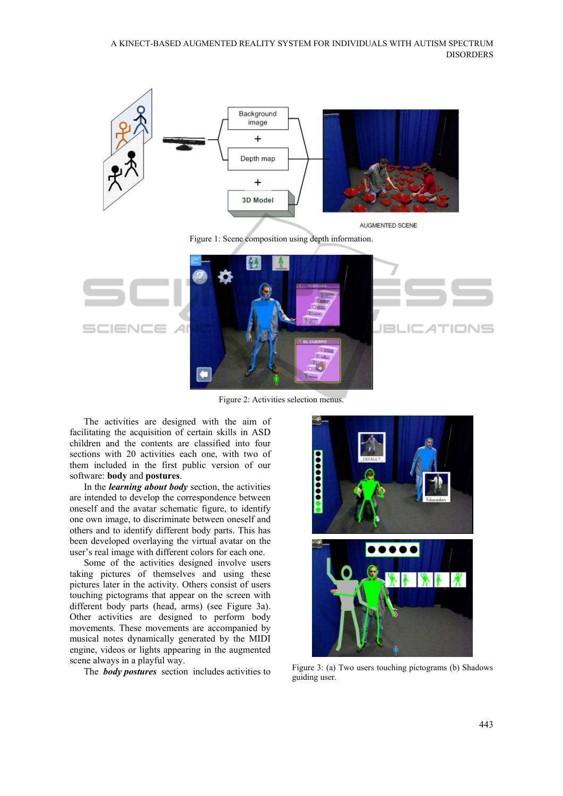

Figure 2: Activities selection menus.

The activities are designed with the aim of facilitating the acquisition of certain skills in ASD children and the contents are classified into four sections with 20 activities each one, with two of them included in the first public version of our software: **body** and **postures**.

In the *learning about body* section, the activities are intended to develop the correspondence between oneself and the avatar schematic figure, to identify one own image, to discriminate between oneself and others and to identify different body parts. This has been developed overlaying the virtual avatar on the user's real image with different colors for each one.

Some of the activities designed involve users taking pictures of themselves and using these pictures later in the activity. Others consist of users touching pictograms that appear on the screen with different body parts (head, arms) (see Figure 3a). Other activities are designed to perform body movements. These movements are accompanied by musical notes dynamically generated by the MIDI engine, videos or lights appearing in the augmented scene always in a playful way.



The **body postures** section includes activities to Figure 3: (a) Two users touching pictograms (b) Shadows guiding user.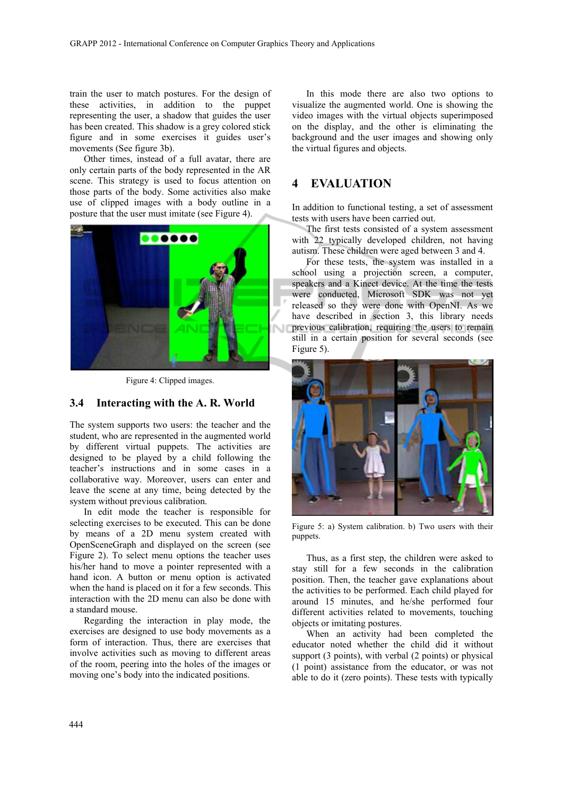train the user to match postures. For the design of these activities, in addition to the puppet representing the user, a shadow that guides the user has been created. This shadow is a grey colored stick figure and in some exercises it guides user's movements (See figure 3b).

Other times, instead of a full avatar, there are only certain parts of the body represented in the AR scene. This strategy is used to focus attention on those parts of the body. Some activities also make use of clipped images with a body outline in a posture that the user must imitate (see Figure 4).



Figure 4: Clipped images.

#### **3.4 Interacting with the A. R. World**

The system supports two users: the teacher and the student, who are represented in the augmented world by different virtual puppets. The activities are designed to be played by a child following the teacher's instructions and in some cases in a collaborative way. Moreover, users can enter and leave the scene at any time, being detected by the system without previous calibration.

In edit mode the teacher is responsible for selecting exercises to be executed. This can be done by means of a 2D menu system created with OpenSceneGraph and displayed on the screen (see Figure 2). To select menu options the teacher uses his/her hand to move a pointer represented with a hand icon. A button or menu option is activated when the hand is placed on it for a few seconds. This interaction with the 2D menu can also be done with a standard mouse.

Regarding the interaction in play mode, the exercises are designed to use body movements as a form of interaction. Thus, there are exercises that involve activities such as moving to different areas of the room, peering into the holes of the images or moving one's body into the indicated positions.

In this mode there are also two options to visualize the augmented world. One is showing the video images with the virtual objects superimposed on the display, and the other is eliminating the background and the user images and showing only the virtual figures and objects.

### **4 EVALUATION**

In addition to functional testing, a set of assessment tests with users have been carried out.

The first tests consisted of a system assessment with 22 typically developed children, not having autism. These children were aged between 3 and 4.

For these tests, the system was installed in a school using a projection screen, a computer, speakers and a Kinect device. At the time the tests were conducted, Microsoft SDK was not yet released so they were done with OpenNI. As we have described in section 3, this library needs previous calibration, requiring the users to remain still in a certain position for several seconds (see Figure 5).



Figure 5: a) System calibration. b) Two users with their puppets.

Thus, as a first step, the children were asked to stay still for a few seconds in the calibration position. Then, the teacher gave explanations about the activities to be performed. Each child played for around 15 minutes, and he/she performed four different activities related to movements, touching objects or imitating postures.

When an activity had been completed the educator noted whether the child did it without support (3 points), with verbal (2 points) or physical (1 point) assistance from the educator, or was not able to do it (zero points). These tests with typically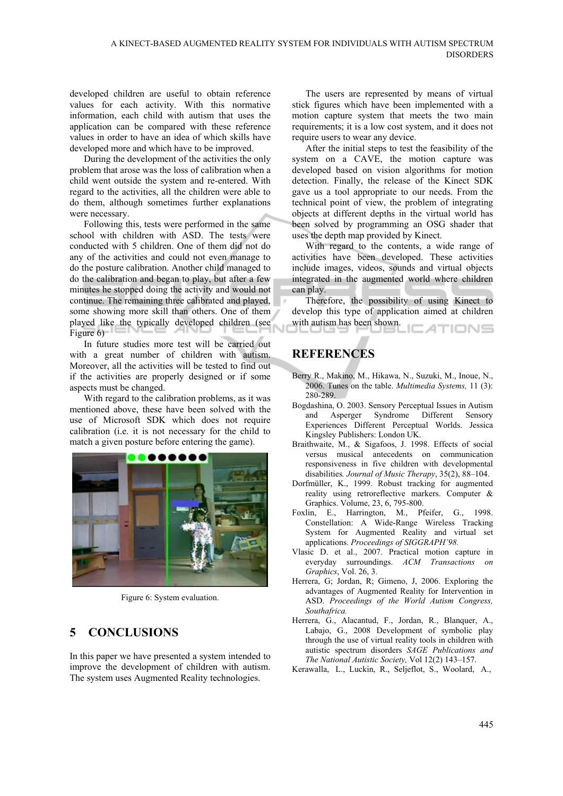developed children are useful to obtain reference values for each activity. With this normative information, each child with autism that uses the application can be compared with these reference values in order to have an idea of which skills have developed more and which have to be improved.

During the development of the activities the only problem that arose was the loss of calibration when a child went outside the system and re-entered. With regard to the activities, all the children were able to do them, although sometimes further explanations were necessary.

Following this, tests were performed in the same school with children with ASD. The tests were conducted with 5 children. One of them did not do any of the activities and could not even manage to do the posture calibration. Another child managed to do the calibration and began to play, but after a few minutes he stopped doing the activity and would not continue. The remaining three calibrated and played, some showing more skill than others. One of them played like the typically developed children (see Figure 6)

In future studies more test will be carried out with a great number of children with autism. Moreover, all the activities will be tested to find out if the activities are properly designed or if some aspects must be changed.

With regard to the calibration problems, as it was mentioned above, these have been solved with the use of Microsoft SDK which does not require calibration (i.e. it is not necessary for the child to match a given posture before entering the game).



Figure 6: System evaluation.

## **5 CONCLUSIONS**

In this paper we have presented a system intended to improve the development of children with autism. The system uses Augmented Reality technologies.

The users are represented by means of virtual stick figures which have been implemented with a motion capture system that meets the two main requirements; it is a low cost system, and it does not require users to wear any device.

After the initial steps to test the feasibility of the system on a CAVE, the motion capture was developed based on vision algorithms for motion detection. Finally, the release of the Kinect SDK gave us a tool appropriate to our needs. From the technical point of view, the problem of integrating objects at different depths in the virtual world has been solved by programming an OSG shader that uses the depth map provided by Kinect.

With regard to the contents, a wide range of activities have been developed. These activities include images, videos, sounds and virtual objects integrated in the augmented world where children can play.

Therefore, the possibility of using Kinect to develop this type of application aimed at children with autism has been shown. ATIONS

# **REFERENCES**

- Berry R., Makino, M., Hikawa, N., Suzuki, M., Inoue, N., 2006. Tunes on the table. *Multimedia Systems,* 11 (3): 280-289.
- Bogdashina, O. 2003. Sensory Perceptual Issues in Autism and Asperger Syndrome Different Sensory Experiences Different Perceptual Worlds. Jessica Kingsley Publishers: London UK.
- Braithwaite, M., & Sigafoos, J. 1998. Effects of social versus musical antecedents on communication responsiveness in five children with developmental disabilities*. Journal of Music Therapy*, 35(2), 88–104.
- Dorfmüller, K., 1999. Robust tracking for augmented reality using retroreflective markers. Computer & Graphics. Volume, 23, 6, 795-800.
- Foxlin, E., Harrington, M., Pfeifer, G., 1998. Constellation: A Wide-Range Wireless Tracking System for Augmented Reality and virtual set applications. *Proceedings of SIGGRAPH'98.*
- Vlasic D. et al., 2007. Practical motion capture in everyday surroundings. *ACM Transactions on Graphics*, Vol. 26, 3.
- Herrera, G; Jordan, R; Gimeno, J, 2006. Exploring the advantages of Augmented Reality for Intervention in ASD. *Proceedings of the World Autism Congress, Southafrica.*
- Herrera, G., Alacantud, F., Jordan, R., Blanquer, A., Labajo, G., 2008 Development of symbolic play through the use of virtual reality tools in children with autistic spectrum disorders *SAGE Publications and The National Autistic Society,* Vol 12(2) 143–157.
- Kerawalla, L., Luckin, R., Seljeflot, S., Woolard, A.,